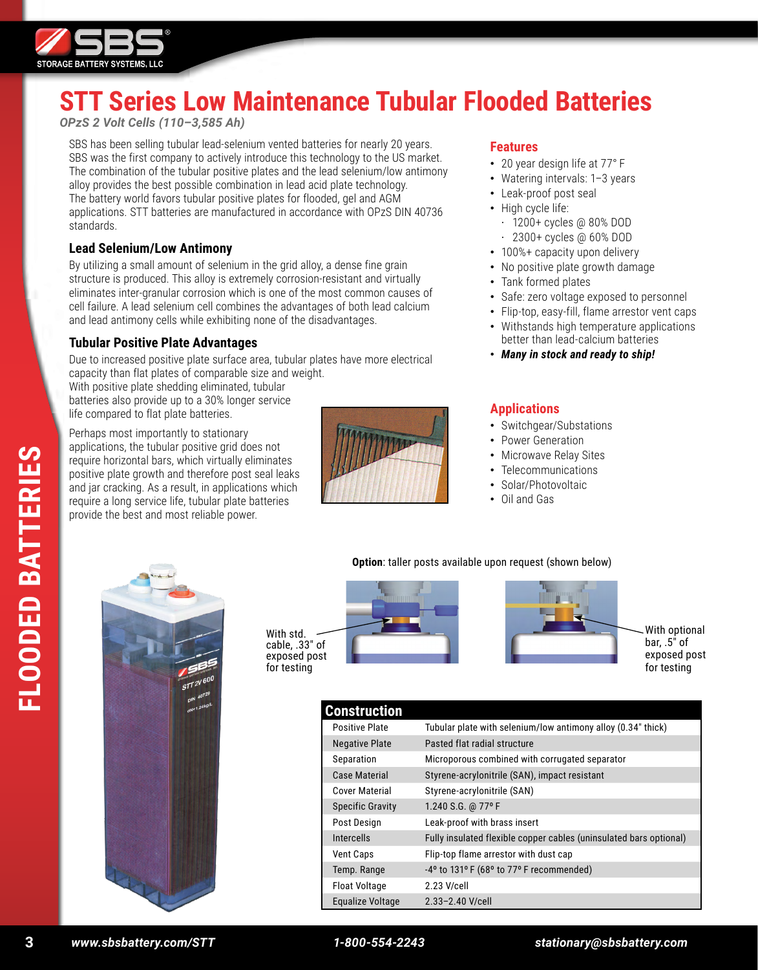

# **STT Series Low Maintenance Tubular Flooded Batteries**

*OPzS 2 Volt Cells (110–3,585 Ah)*

SBS has been selling tubular lead-selenium vented batteries for nearly 20 years. SBS was the first company to actively introduce this technology to the US market. The combination of the tubular positive plates and the lead selenium/low antimony alloy provides the best possible combination in lead acid plate technology. The battery world favors tubular positive plates for flooded, gel and AGM applications. STT batteries are manufactured in accordance with OPzS DIN 40736 standards.

#### **Lead Selenium/Low Antimony**

By utilizing a small amount of selenium in the grid alloy, a dense fine grain structure is produced. This alloy is extremely corrosion-resistant and virtually eliminates inter-granular corrosion which is one of the most common causes of cell failure. A lead selenium cell combines the advantages of both lead calcium and lead antimony cells while exhibiting none of the disadvantages.

# **Tubular Positive Plate Advantages**

Due to increased positive plate surface area, tubular plates have more electrical capacity than flat plates of comparable size and weight.

With positive plate shedding eliminated, tubular batteries also provide up to a 30% longer service life compared to flat plate batteries.

Perhaps most importantly to stationary applications, the tubular positive grid does not require horizontal bars, which virtually eliminates positive plate growth and therefore post seal leaks and jar cracking. As a result, in applications which require a long service life, tubular plate batteries provide the best and most reliable power.



#### **Features**

- 20 year design life at 77° F
- Watering intervals: 1-3 years
- Leak-proof post seal
- High cycle life:
	- · 1200+ cycles @ 80% DOD
	- · 2300+ cycles @ 60% DOD
- 100%+ capacity upon delivery
- No positive plate growth damage
- Tank formed plates
- Safe: zero voltage exposed to personnel
- Flip-top, easy-fill, flame arrestor vent caps
- Withstands high temperature applications better than lead-calcium batteries
- *Many in stock and ready to ship!*

### **Applications**

- Switchgear/Substations
- Power Generation
- Microwave Relay Sites
- Telecommunications
- Solar/Photovoltaic
- Oil and Gas

#### **Option**: taller posts available upon request (shown below)







With optional bar,  $.5$ <sup> $\degree$ </sup> of exposed post for testing

| <b>Construction</b>     |                                                                    |
|-------------------------|--------------------------------------------------------------------|
| <b>Positive Plate</b>   | Tubular plate with selenium/low antimony alloy (0.34" thick)       |
| <b>Negative Plate</b>   | Pasted flat radial structure                                       |
| Separation              | Microporous combined with corrugated separator                     |
| Case Material           | Styrene-acrylonitrile (SAN), impact resistant                      |
| <b>Cover Material</b>   | Styrene-acrylonitrile (SAN)                                        |
| <b>Specific Gravity</b> | 1.240 S.G. @ 77°F                                                  |
| Post Design             | Leak-proof with brass insert                                       |
| <b>Intercells</b>       | Fully insulated flexible copper cables (uninsulated bars optional) |
| Vent Caps               | Flip-top flame arrestor with dust cap                              |
| Temp. Range             | $-4^{\circ}$ to 131° F (68° to 77° F recommended)                  |
| <b>Float Voltage</b>    | 2.23 V/cell                                                        |
| Equalize Voltage        | 2.33-2.40 V/cell                                                   |

**FLOODED BATTERIES**